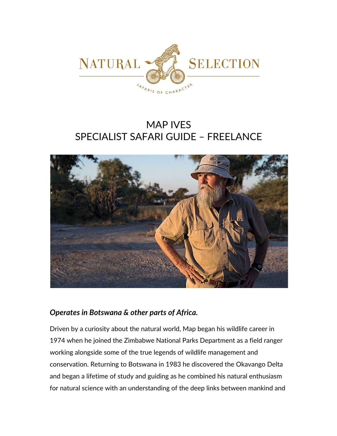

# MAP IVES SPECIALIST SAFARI GUIDE – FREELANCE



# *Operates in Botswana & other parts of Africa.*

Driven by a curiosity about the natural world, Map began his wildlife career in 1974 when he joined the Zimbabwe National Parks Department as a field ranger working alongside some of the true legends of wildlife management and conservation. Returning to Botswana in 1983 he discovered the Okavango Delta and began a lifetime of study and guiding as he combined his natural enthusiasm for natural science with an understanding of the deep links between mankind and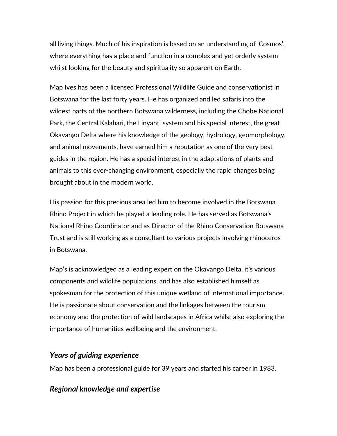all living things. Much of his inspiration is based on an understanding of 'Cosmos', where everything has a place and function in a complex and yet orderly system whilst looking for the beauty and spirituality so apparent on Earth.

Map Ives has been a licensed Professional Wildlife Guide and conservationist in Botswana for the last forty years. He has organized and led safaris into the wildest parts of the northern Botswana wilderness, including the Chobe National Park, the Central Kalahari, the Linyanti system and his special interest, the great Okavango Delta where his knowledge of the geology, hydrology, geomorphology, and animal movements, have earned him a reputation as one of the very best guides in the region. He has a special interest in the adaptations of plants and animals to this ever-changing environment, especially the rapid changes being brought about in the modern world.

His passion for this precious area led him to become involved in the Botswana Rhino Project in which he played a leading role. He has served as Botswana's National Rhino Coordinator and as Director of the Rhino Conservation Botswana Trust and is still working as a consultant to various projects involving rhinoceros in Botswana.

Map's is acknowledged as a leading expert on the Okavango Delta, it's various components and wildlife populations, and has also established himself as spokesman for the protection of this unique wetland of international importance. He is passionate about conservation and the linkages between the tourism economy and the protection of wild landscapes in Africa whilst also exploring the importance of humanities wellbeing and the environment.

#### *Years of guiding experience*

Map has been a professional guide for 39 years and started his career in 1983.

### *Regional knowledge and expertise*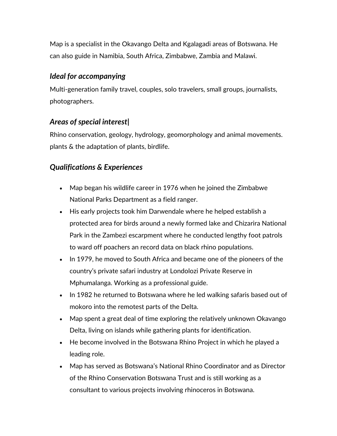Map is a specialist in the Okavango Delta and Kgalagadi areas of Botswana. He can also guide in Namibia, South Africa, Zimbabwe, Zambia and Malawi.

## *Ideal for accompanying*

Multi-generation family travel, couples, solo travelers, small groups, journalists, photographers.

# *Areas of special interest|*

Rhino conservation, geology, hydrology, geomorphology and animal movements. plants & the adaptation of plants, birdlife.

# *Qualifications & Experiences*

- Map began his wildlife career in 1976 when he joined the Zimbabwe National Parks Department as a field ranger.
- His early projects took him Darwendale where he helped establish a protected area for birds around a newly formed lake and Chizarira National Park in the Zambezi escarpment where he conducted lengthy foot patrols to ward off poachers an record data on black rhino populations.
- In 1979, he moved to South Africa and became one of the pioneers of the country's private safari industry at Londolozi Private Reserve in Mphumalanga. Working as a professional guide.
- In 1982 he returned to Botswana where he led walking safaris based out of mokoro into the remotest parts of the Delta.
- Map spent a great deal of time exploring the relatively unknown Okavango Delta, living on islands while gathering plants for identification.
- He become involved in the Botswana Rhino Project in which he played a leading role.
- Map has served as Botswana's National Rhino Coordinator and as Director of the Rhino Conservation Botswana Trust and is still working as a consultant to various projects involving rhinoceros in Botswana.